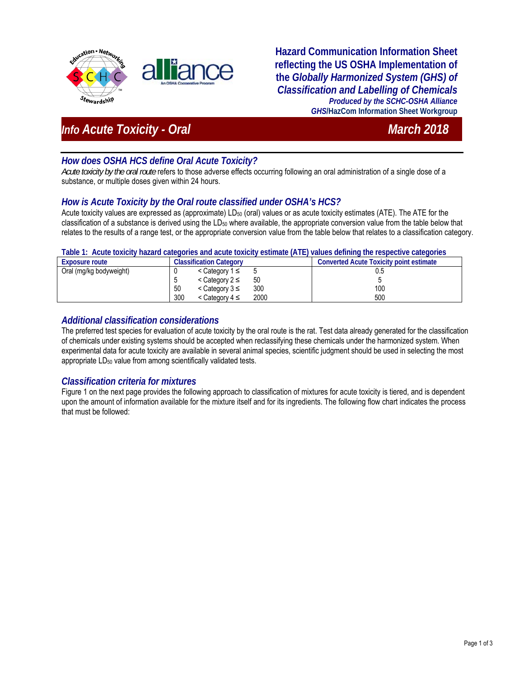

**Hazard Communication Information Sheet reflecting the US OSHA Implementation of the** *Globally Harmonized System (GHS) of Classification and Labelling of Chemicals Produced by the SCHC-OSHA Alliance GHS***/HazCom Information Sheet Workgroup**

# *Info Acute Toxicity - Oral* March 2018

# *How does OSHA HCS define Oral Acute Toxicity?*

*Acute toxicity by the oral route* refers to those adverse effects occurring following an oral administration of a single dose of a substance, or multiple doses given within 24 hours.

# *How is Acute Toxicity by the Oral route classified under OSHA's HCS?*

Acute toxicity values are expressed as (approximate) LD<sub>50</sub> (oral) values or as acute toxicity estimates (ATE). The ATE for the classification of a substance is derived using the LD<sub>50</sub> where available, the appropriate conversion value from the table below that relates to the results of a range test, or the appropriate conversion value from the table below that relates to a classification category.

| Table T. Actile toxicity hazard categories and actile toxicity estimate (ATE) values defining the respective categories |                                         |                                         |  |
|-------------------------------------------------------------------------------------------------------------------------|-----------------------------------------|-----------------------------------------|--|
| <b>Exposure route</b>                                                                                                   | <b>Classification Category</b>          | Converted Acute Toxicity point estimate |  |
| Oral (mg/kg bodyweight)                                                                                                 | $\leq$ Category 1 ≤                     | U.O                                     |  |
|                                                                                                                         | 50<br>$\leq$ Category 2 $\leq$          |                                         |  |
|                                                                                                                         | 300<br>50<br>$\leq$ Category 3 $\leq$   | 100                                     |  |
|                                                                                                                         | 300<br>2000<br>$\leq$ Category 4 $\leq$ | 500                                     |  |

# **Table 1: Acute toxicity hazard categories and acute toxicity estimate (ATE) values defining the respective categories**

### *Additional classification considerations*

The preferred test species for evaluation of acute toxicity by the oral route is the rat. Test data already generated for the classification of chemicals under existing systems should be accepted when reclassifying these chemicals under the harmonized system. When experimental data for acute toxicity are available in several animal species, scientific judgment should be used in selecting the most appropriate LD<sub>50</sub> value from among scientifically validated tests.

### *Classification criteria for mixtures*

Figure 1 on the next page provides the following approach to classification of mixtures for acute toxicity is tiered, and is dependent upon the amount of information available for the mixture itself and for its ingredients. The following flow chart indicates the process that must be followed: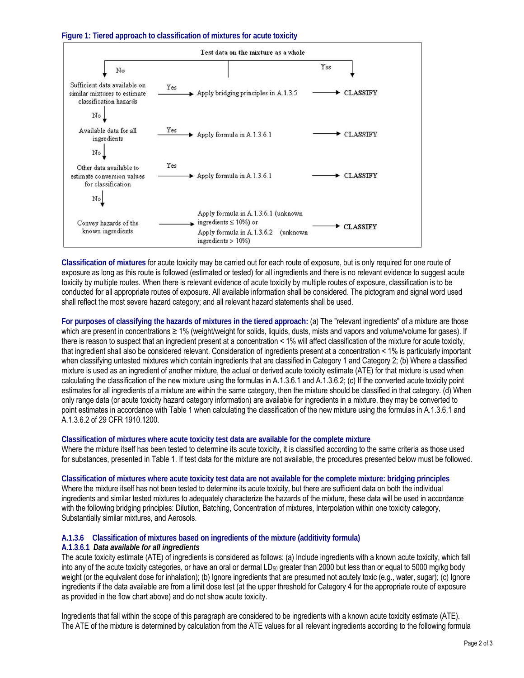**Figure 1: Tiered approach to classification of mixtures for acute toxicity**



**Classification of mixtures** for acute toxicity may be carried out for each route of exposure, but is only required for one route of exposure as long as this route is followed (estimated or tested) for all ingredients and there is no relevant evidence to suggest acute toxicity by multiple routes. When there is relevant evidence of acute toxicity by multiple routes of exposure, classification is to be conducted for all appropriate routes of exposure. All available information shall be considered. The pictogram and signal word used shall reflect the most severe hazard category; and all relevant hazard statements shall be used.

**For purposes of classifying the hazards of mixtures in the tiered approach:** (a) The "relevant ingredients" of a mixture are those which are present in concentrations ≥ 1% (weight/weight for solids, liquids, dusts, mists and vapors and volume/volume for gases). If there is reason to suspect that an ingredient present at a concentration < 1% will affect classification of the mixture for acute toxicity, that ingredient shall also be considered relevant. Consideration of ingredients present at a concentration < 1% is particularly important when classifying untested mixtures which contain ingredients that are classified in Category 1 and Category 2; (b) Where a classified mixture is used as an ingredient of another mixture, the actual or derived acute toxicity estimate (ATE) for that mixture is used when calculating the classification of the new mixture using the formulas in A.1.3.6.1 and A.1.3.6.2; (c) If the converted acute toxicity point estimates for all ingredients of a mixture are within the same category, then the mixture should be classified in that category. (d) When only range data (or acute toxicity hazard category information) are available for ingredients in a mixture, they may be converted to point estimates in accordance with Table 1 when calculating the classification of the new mixture using the formulas in A.1.3.6.1 and A.1.3.6.2 of 29 CFR 1910.1200.

#### **Classification of mixtures where acute toxicity test data are available for the complete mixture**

Where the mixture itself has been tested to determine its acute toxicity, it is classified according to the same criteria as those used for substances, presented in Table 1. If test data for the mixture are not available, the procedures presented below must be followed.

#### **Classification of mixtures where acute toxicity test data are not available for the complete mixture: bridging principles**

Where the mixture itself has not been tested to determine its acute toxicity, but there are sufficient data on both the individual ingredients and similar tested mixtures to adequately characterize the hazards of the mixture, these data will be used in accordance with the following bridging principles: Dilution, Batching, Concentration of mixtures, Interpolation within one toxicity category, Substantially similar mixtures, and Aerosols.

## **A.1.3.6 Classification of mixtures based on ingredients of the mixture (additivity formula)**

#### **A.1.3.6.1** *Data available for all ingredients*

The acute toxicity estimate (ATE) of ingredients is considered as follows: (a) Include ingredients with a known acute toxicity, which fall into any of the acute toxicity categories, or have an oral or dermal LD<sub>50</sub> greater than 2000 but less than or equal to 5000 mg/kg body weight (or the equivalent dose for inhalation); (b) Ignore ingredients that are presumed not acutely toxic (e.g., water, sugar); (c) Ignore ingredients if the data available are from a limit dose test (at the upper threshold for Category 4 for the appropriate route of exposure as provided in the flow chart above) and do not show acute toxicity.

Ingredients that fall within the scope of this paragraph are considered to be ingredients with a known acute toxicity estimate (ATE). The ATE of the mixture is determined by calculation from the ATE values for all relevant ingredients according to the following formula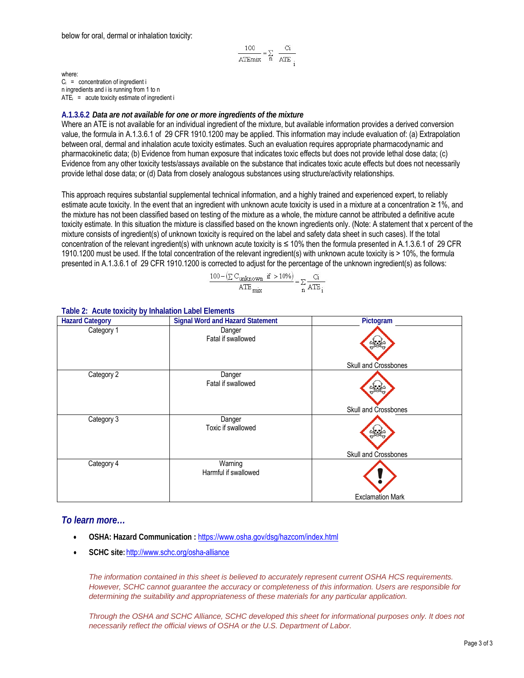$$
\frac{100}{\text{ATEmix}} = \sum_{n} \frac{Ci}{\text{ATE}}
$$

where:  $C_i$  = concentration of ingredient i n ingredients and i is running from 1 to n  $ATE<sub>i</sub>$  = acute toxicity estimate of ingredient i

#### **A.1.3.6.2** *Data are not available for one or more ingredients of the mixture*

Where an ATE is not available for an individual ingredient of the mixture, but available information provides a derived conversion value, the formula in A.1.3.6.1 of 29 CFR 1910.1200 may be applied. This information may include evaluation of: (a) Extrapolation between oral, dermal and inhalation acute toxicity estimates. Such an evaluation requires appropriate pharmacodynamic and pharmacokinetic data; (b) Evidence from human exposure that indicates toxic effects but does not provide lethal dose data; (c) Evidence from any other toxicity tests/assays available on the substance that indicates toxic acute effects but does not necessarily provide lethal dose data; or (d) Data from closely analogous substances using structure/activity relationships.

This approach requires substantial supplemental technical information, and a highly trained and experienced expert, to reliably estimate acute toxicity. In the event that an ingredient with unknown acute toxicity is used in a mixture at a concentration ≥ 1%, and the mixture has not been classified based on testing of the mixture as a whole, the mixture cannot be attributed a definitive acute toxicity estimate. In this situation the mixture is classified based on the known ingredients only. (Note: A statement that x percent of the mixture consists of ingredient(s) of unknown toxicity is required on the label and safety data sheet in such cases). If the total concentration of the relevant ingredient(s) with unknown acute toxicity is ≤ 10% then the formula presented in A.1.3.6.1 of 29 CFR 1910.1200 must be used. If the total concentration of the relevant ingredient(s) with unknown acute toxicity is > 10%, the formula presented in A.1.3.6.1 of 29 CFR 1910.1200 is corrected to adjust for the percentage of the unknown ingredient(s) as follows:

$$
\frac{100 - (\sum C_{unknown} \text{ if } > 10\%)}{ATE_{mix}} = \sum_{n} \frac{C_i}{ATE_i}
$$

| <b>Hazard Category</b> | <b>Signal Word and Hazard Statement</b> | Pictogram               |
|------------------------|-----------------------------------------|-------------------------|
| Category 1             | Danger<br>Fatal if swallowed            | Skull and Crossbones    |
| Category 2             | Danger<br>Fatal if swallowed            | Skull and Crossbones    |
| Category 3             | Danger<br>Toxic if swallowed            | Skull and Crossbones    |
| Category 4             | Warning<br>Harmful if swallowed         | <b>Exclamation Mark</b> |

#### **Table 2: Acute toxicity by Inhalation Label Elements**

### *To learn more…*

- **OSHA: Hazard Communication :** https://www.osha.gov/dsg/hazcom/index.html
- **SCHC site:** http://www.schc.org/osha-alliance

 *The information contained in this sheet is believed to accurately represent current OSHA HCS requirements. However, SCHC cannot guarantee the accuracy or completeness of this information. Users are responsible for determining the suitability and appropriateness of these materials for any particular application.* 

*Through the OSHA and SCHC Alliance, SCHC developed this sheet for informational purposes only. It does not necessarily reflect the official views of OSHA or the U.S. Department of Labor.*